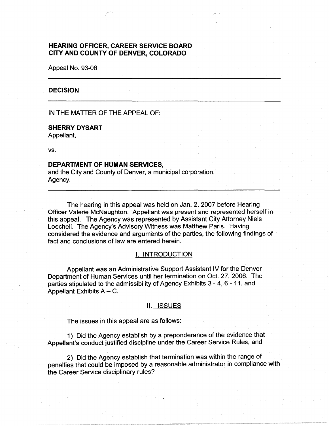# **HEARING OFFICER, CAREER SERVICE BOARD CITY AND COUNTY OF DENVER, COLORADO**

Appeal No. 93-06

#### **DECISION**

IN THE MATTER OF THE APPEAL OF:

# **SHERRY DYSART**

Appellant,

vs.

### **DEPARTMENT OF HUMAN SERVICES,**

and the City and County of Denver, a municipal corporation, Agency.

The hearing in this appeal was held on Jan. 2, 2007 before Hearing Officer Valerie McNaughton. Appellant was present and represented herself in this appeal. The Agency was represented by Assistant City Attorney Niels Loechell. The Agency's Advisory Witness was Matthew Paris. Having considered the evidence and arguments of the parties, the following findings of fact and conclusions of law are entered herein.

### I. **INTRODUCTION**

Appellant was an Administrative Support Assistant IV for the Denver Department of Human Services until her termination on Oct. 27, 2006. The parties stipulated to the admissibility of Agency Exhibits 3 - 4, 6 - 11, and Appellant Exhibits  $A - C$ .

## II. ISSUES

The issues in this appeal are as follows:

1 ) Did the Agency establish by a preponderance of the evidence that Appellant's conduct justified discipline under the Career Service Rules, and

2) Did the Agency establish that termination was within the range of penalties that could be imposed by a reasonable administrator in compliance with the Career Service disciplinary rules?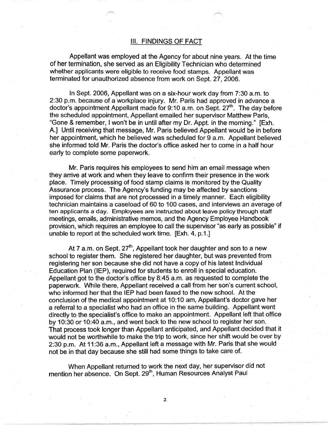## Ill. FINDINGS OF FACT

Appellant was employed at the Agency for about nine years. At the time of her termination, she served as an Eligibility Technician who determined whether applicants were eligible to receive food stamps. Appellant was terminated for unauthorized absence from work on Sept. 27, 2006.

In Sept. 2006, Appellant was on a six-hour work day from 7:30 a.m. to 2:30 p.m. because of a workplace injury. Mr. Paris had approved in advance a doctor's appointment Appellant made for 9:10 a.m. on Sept.  $27<sup>th</sup>$ . The day before the scheduled appointment, Appellant emailed her supervisor Matthew Paris, "Gone & remember, I won't be in until after my Dr. Appt. in the morning." [Exh. A.] Until receiving that message, Mr. Paris believed Appellant would be in before her appointment, which he believed was scheduled for 9 a.m. Appellant believed she informed told Mr. Paris the doctor's office asked her to come in a half hour early to complete some paperwork.

Mr. Paris requires his employees to send him an email message when they arrive at work and when they leave to confirm their presence in the work place. Timely processing of food stamp claims is monitored by the Quality Assurance process. The Agency's funding may be affected by sanctions imposed for claims that are not processed in a timely manner. Each eligibility technician maintains a caseload of 60 to 100 cases, and interviews an average of ten applicants a day. Employees are instructed about leave policy through staff meetings, emails, administrative memos, and the Agency Employee Handbook provision, which requires an employee to call the supervisor "as early as possible" if unable to report at the scheduled work time. [Exh. 4, p.1.]

At 7 a.m. on Sept.  $27<sup>th</sup>$ , Appellant took her daughter and son to a new school to register them. She registered her daughter, but was prevented from registering her son because she did not have a copy of his latest Individual Education Plan (IEP), required for students to enroll in special education. Appellant got to the doctor's office by 8:45 a.m. as requested to complete the paperwork. While there, Appellant received a call from her son's current school, who informed her that the IEP had been faxed to the new school. At the conclusion of the medical appointment at 10:10 am, Appellant's doctor gave her a referral to a specialist who had an office in the same building. Appellant went directly to the specialist's office to make an appointment. Appellant left that office by 10:30 or 10:40 a.m., and went back to the new school to register her son. That process took longer than Appellant anticipated, and Appellant decided that it would not be worthwhile to make the trip to work, since her shift would be over by 2:30 p.m. At 11 :36 a.m., Appellant left a message with Mr. Paris that she would not be in that day because she still had some things to take care of.

When Appellant returned to work the next day, her supervisor did not mention her absence. On Sept. 29<sup>th</sup>, Human Resources Analyst Paul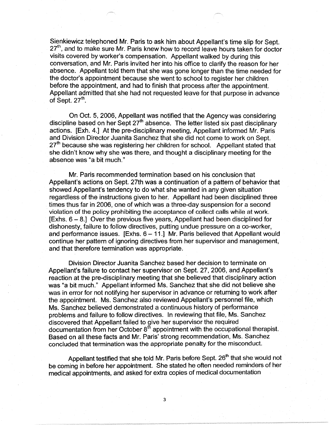Sienkiewicz telephoned Mr. Paris to ask him about Appellant's time slip for Sept. 27<sup>th</sup>, and to make sure Mr. Paris knew how to record leave hours taken for doctor visits covered by worker's compensation. Appellant walked by during this conversation, and Mr. Paris invited her into his office to clarify the reason for her absence. Appellant told them that she was gone longer than the time needed for the doctor's appointment because she went to school to register her children before the appointment, and had to finish that process after the appointment. Appellant admitted that she had not requested leave for that purpose in advance of Sept.  $27<sup>th</sup>$ .

On Oct. 5, 2006, Appellant was notified that the Agency was considering discipline based on her Sept  $27<sup>th</sup>$  absence. The letter listed six past disciplinary actions. [Exh. 4.] At the pre-disciplinary meeting, Appellant informed Mr. Paris and Division Director Juanita Sanchez that she did not come to work on Sept.  $27<sup>th</sup>$  because she was registering her children for school. Appellant stated that she didn't know why she was there, and thought a disciplinary meeting for the absence was "a bit much."

Mr. Paris recommended termination based on his conclusion that Appellant's actions on Sept. 27th was a continuation of a pattern of behavior that showed Appellant's tendency to do what she wanted in any given situation regardless of the instructions given to her. Appellant had been disciplined three times thus far in 2006, one of which was a three-day suspension for a second violation of the policy prohibiting the acceptance of collect calls while at work.  $[Exhs. 6 - 8]$  Over the previous five years, Appellant had been disciplined for dishonesty, failure to follow directives, putting undue pressure on a co-worker, and performance issues.  $[Exhs. 6 - 11.]$  Mr. Paris believed that Appellant would continue her pattern of ignoring directives from her supervisor and management, and that therefore termination was appropriate.

Division Director Juanita Sanchez based her decision to terminate on Appellant's failure to contact her supervisor on Sept. 27, 2006, and Appellant's reaction at the pre-disciplinary meeting that she believed that disciplinary action was "a bit much." Appellant informed Ms. Sanchez that she did not believe she was in error for not notifying her supervisor in advance or returning to work after the appointment. Ms. Sanchez also reviewed Appellant's personnel file, which Ms. Sanchez believed demonstrated a continuous history of performance problems and failure to follow directives. In reviewing that file, Ms. Sanchez discovered that Appellant failed to give her supervisor the required documentation from her October  $8<sup>th</sup>$  appointment with the occupational therapist. Based on all these facts and Mr. Paris' strong recommendation, Ms. Sanchez concluded that termination was the appropriate penalty for the misconduct.

Appellant testified that she told Mr. Paris before Sept. 26<sup>th</sup> that she would not be coming in before her appointment. She stated he often needed reminders of her medical appointments, and asked for extra copies of medical documentation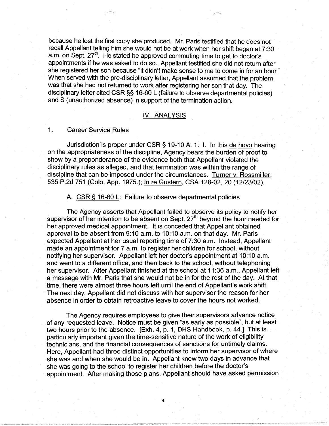because he lost the first copy she produced. Mr. Paris testified that he does not recall Appellant telling him she would not be at work when her shift began at 7:30 a.m. on Sept.  $27<sup>th</sup>$ . He stated he approved commuting time to get to doctor's appointments if he was asked to do so. Appellant testified she did not return after she registered her son because "it didn't make sense to me to come in for an hour." When served with the pre-disciplinary letter, Appellant assumed that the problem was that she had not returned to work after registering her son that day. The disciplinary letter cited CSR§§ 16-60 L (failure to observe departmental policies) and S (unauthorized absence) in support of the termination action.

# IV. **ANALYSIS**

# 1. Career Service Rules

Jurisdiction is proper under CSR§ 19-10 A. 1. I. In this de novo hearing on the appropriateness of the discipline, Agency bears the burden of proof to show by a preponderance of the evidence both that Appellant violated the disciplinary rules as alleged, and that termination was within the range of discipline that can be imposed under the circumstances. Turner v. Rossmiller, 535 P.2d 751 (Colo. App. 1975.); In re Gustern, CSA 128-02, 20 (12/23/02).

# A. CSR § 16-60 L: Failure to observe departmental policies

The Agency asserts that Appellant failed to observe its policy to notify her supervisor of her intention to be absent on Sept. 27<sup>th</sup> beyond the hour needed for her approved medical appointment. It is conceded that Appellant obtained approval to be absent from 9:10 a.m. to 10:10 a.m. on that day. Mr. Paris expected Appellant at her usual reporting time of 7:30 a.m. Instead, Appellant made an appointment for 7 a.m. to register her children for school, without notifying her supervisor. Appellant left her doctor's appointment at 10:10 a.m. and went to a different office, and then back to the school, without telephoning her supervisor. After Appellant finished at the school at 11 :36 a.m., Appellant left a message with Mr. Paris that she would not be in for the rest of the day. At that time, there were almost three hours left until the end of Appellant's work shift. The next day, Appellant did not discuss with her supervisor the reason for her absence in order to obtain retroactive leave to cover the hours not worked.

The Agency requires employees to give their supervisors advance notice of any requested leave. Notice must be given "as early as possible", but at least two hours prior to the absence. [Exh. 4, p. 1, DHS Handbook, p. 44.] This is particularly important given the time-sensitive nature of the work of eligibility technicians, and the financial consequences of sanctions for untimely claims. Here, Appellant had three distinct opportunities to inform her supervisor of where she was and when she would be in. Appellant knew two days in advance that she was going to the school to register her children before the doctor's appointment. After making those plans, Appellant should have asked permission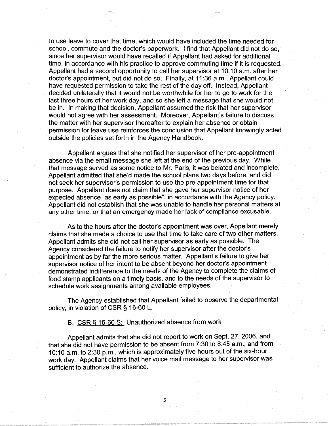to use leave to cover that time, which would have included the time needed for school, commute and the doctor's paperwork. I find that Appellant did not do so, since her supervisor would have recalled if Appellant had asked for additional time, in accordance with his practice to approve commuting time if it is requested. Appellant had a second opportunity to call her supervisor at 10:10 a.m. after her doctor's appointment, but did not do so. Finally, at 11 :36 a.m., Appellant could have requested permission to take the rest of the day off. Instead, Appellant decided unilaterally that it would not be worthwhile for her to go to work for the last three hours of her work day, and so she left a message that she would not be in. In making that decision, Appellant assumed the risk that her supervisor would not agree with her assessment. Moreover, Appellant's failure to discuss the matter with her supervisor thereafter to explain her absence or obtain permission for leave use reinforces the conclusion that Appellant knowingly acted outside the policies set forth in the Agency Handbook.

Appellant argues that she notified her supervisor of her pre-appointment absence via the email message she left at the end of the previous day. While that message served as some notice to Mr. Paris, it was belated and incomplete. Appellant admitted that she'd made the school plans two days before, and did not seek her supervisor's permission to use the pre-appointment time for that purpose. Appellant does not claim that she gave her supervisor notice of her expected absence "as early as possible", in accordance with the Agency policy. Appellant did not establish that she was unable to handle her personal matters at any other time, or that an emergency made her lack of compliance excusable.

As to the hours after the doctor's appointment was over, Appellant merely claims that she made a choice to use that time to take care of two other matters. Appellant admits she did not call her supervisor as early as possible. The Agency considered the failure to notify her supervisor after the doctor's appointment as by far the more serious matter. Appellant's failure to give her supervisor notice of her intent to be absent beyond her doctor's appointment demonstrated indifference to the needs of the Agency to complete the claims of food stamp applicants on a timely basis, and to the needs of the supervisor to schedule work assignments among available employees.

The Agency established that Appellant failed to observe the departmental policy, in violation of CSR § 16-60 L.

B. CSR § 16-60 S: Unauthorized absence from work

Appellant admits that she did not report to work on Sept. 27, 2006, and that she did not have permission to be absent from 7:30 to 8:45 a.m., and from 10:10 a.m. to 2:30 p.m., which is approximately five hours out of the six-hour work day. Appellant claims that her voice mail message to her supervisor was sufficient to authorize the absence.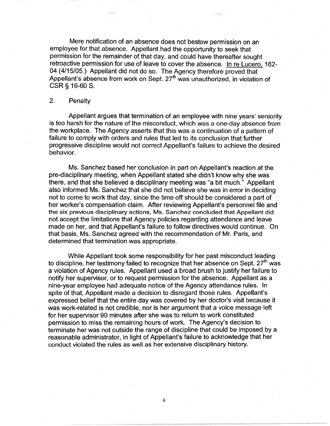Mere notification of an absence does not bestow permission on an employee for that absence. Appellant had the opportunity to seek that permission for the remainder of that day, and could have thereafter sought retroactive permission for use of leave to cover the absence. In re Lucero. 162- 04 (4/15/05.) Appellant did not do so. The Agency therefore proved that Appellant's absence from work on Sept.  $27<sup>th</sup>$  was unauthorized, in violation of CSR § 16-60 S.

## 2. Penalty

Appellant argues that termination of an employee with nine years' seniority is too harsh for the nature of the misconduct, which was a one-day absence from the workplace. The Agency asserts that this was a continuation of a pattern of failure to comply with orders and rules that led to its conclusion that further progressive discipline would not correct Appellant's failure to achieve the desired behavior.

Ms. Sanchez based her conclusion in part on Appellant's reaction at the pre-disciplinary meeting, when Appellant stated she didn't know why she was there, and that she believed a disciplinary meeting was "a bit much." Appellant also informed Ms. Sanchez that she did not believe she was in error in deciding not to come to work that day, since the time off should be considered a part of her worker's compensation claim. After reviewing Appellant's personnel file and the six previous disciplinary actions, Ms. Sanchez concluded that Appellant did not accept the limitations that Agency policies regarding attendance and leave made on her, and that Appellant's failure to follow directives would continue. On that basis, Ms. Sanchez agreed with the recommendation of Mr. Paris, and determined that termination was appropriate.

While Appellant took some responsibility for her past misconduct leading to discipline, her testimony failed to recognize that her absence on Sept.  $27<sup>th</sup>$  was a violation of Agency rules. Appellant used a broad brush to justify her failure to notify her supervisor, or to request permission for the absence. Appellant as a nine-year employee had adequate notice of the Agency attendance rules. In spite of that, Appellant made a decision to disregard those rules. Appellant's expressed belief that the entire day was covered by her doctor's visit because it was work-related is not credible, nor is her argument that a voice message left for her supervisor 90 minutes after she was to return to work constituted permission to miss the remaining hours of work. The Agency's decision to terminate her was not outside the range of discipline that could be imposed by a reasonable administrator, in light of Appellant's failure to acknowledge that her conduct violated the rules as well as her extensive disciplinary history.